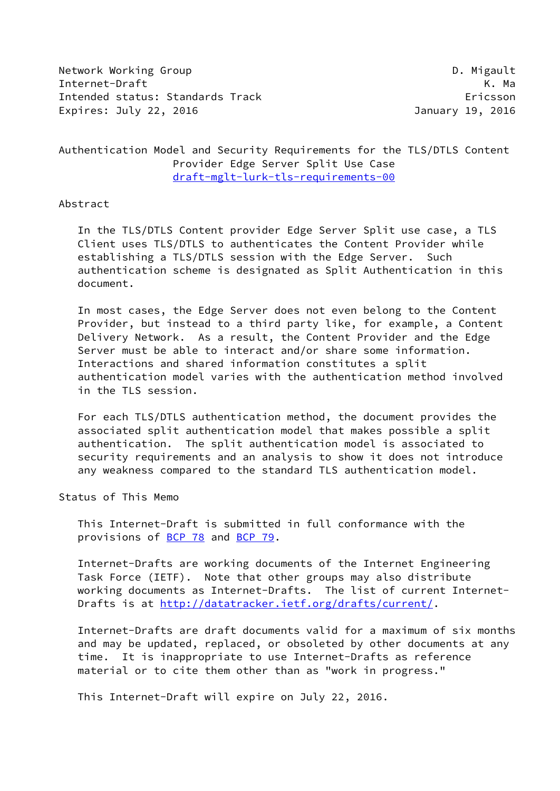Network Working Group **D. Migault** Internet-Draft K. Ma Intended status: Standards Track Ericsson Expires: July 22, 2016 **Interpretate Contract Contract Contract Contract Contract Contract Contract Contract Contract Contract Contract Contract Contract Contract Contract Contract Contract Contract Contract Contract Contr** 

# Authentication Model and Security Requirements for the TLS/DTLS Content Provider Edge Server Split Use Case [draft-mglt-lurk-tls-requirements-00](https://datatracker.ietf.org/doc/pdf/draft-mglt-lurk-tls-requirements-00)

## Abstract

 In the TLS/DTLS Content provider Edge Server Split use case, a TLS Client uses TLS/DTLS to authenticates the Content Provider while establishing a TLS/DTLS session with the Edge Server. Such authentication scheme is designated as Split Authentication in this document.

 In most cases, the Edge Server does not even belong to the Content Provider, but instead to a third party like, for example, a Content Delivery Network. As a result, the Content Provider and the Edge Server must be able to interact and/or share some information. Interactions and shared information constitutes a split authentication model varies with the authentication method involved in the TLS session.

 For each TLS/DTLS authentication method, the document provides the associated split authentication model that makes possible a split authentication. The split authentication model is associated to security requirements and an analysis to show it does not introduce any weakness compared to the standard TLS authentication model.

Status of This Memo

 This Internet-Draft is submitted in full conformance with the provisions of [BCP 78](https://datatracker.ietf.org/doc/pdf/bcp78) and [BCP 79](https://datatracker.ietf.org/doc/pdf/bcp79).

 Internet-Drafts are working documents of the Internet Engineering Task Force (IETF). Note that other groups may also distribute working documents as Internet-Drafts. The list of current Internet Drafts is at<http://datatracker.ietf.org/drafts/current/>.

 Internet-Drafts are draft documents valid for a maximum of six months and may be updated, replaced, or obsoleted by other documents at any time. It is inappropriate to use Internet-Drafts as reference material or to cite them other than as "work in progress."

This Internet-Draft will expire on July 22, 2016.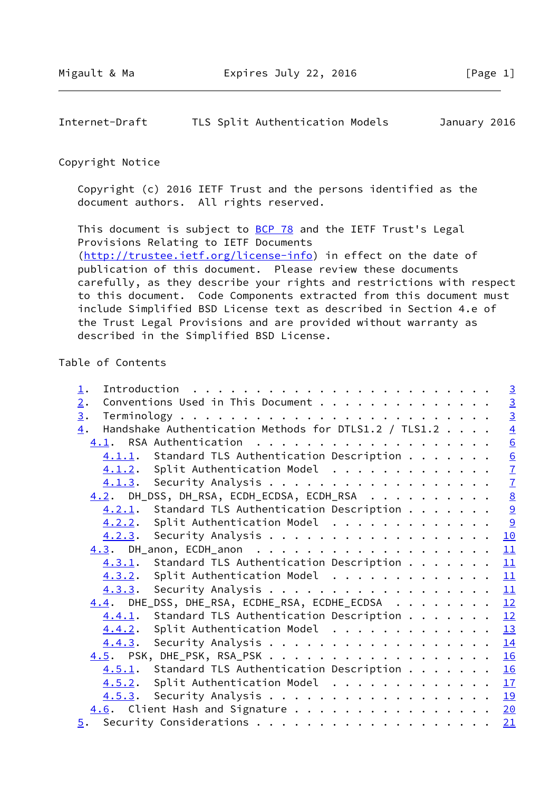Internet-Draft TLS Split Authentication Models January 2016

## Copyright Notice

 Copyright (c) 2016 IETF Trust and the persons identified as the document authors. All rights reserved.

This document is subject to **[BCP 78](https://datatracker.ietf.org/doc/pdf/bcp78)** and the IETF Trust's Legal Provisions Relating to IETF Documents [\(http://trustee.ietf.org/license-info](http://trustee.ietf.org/license-info)) in effect on the date of publication of this document. Please review these documents carefully, as they describe your rights and restrictions with respect to this document. Code Components extracted from this document must include Simplified BSD License text as described in Section 4.e of the Trust Legal Provisions and are provided without warranty as described in the Simplified BSD License.

# Table of Contents

| $\perp$ .                                                                 | $\overline{3}$   |
|---------------------------------------------------------------------------|------------------|
| Conventions Used in This Document<br>2.                                   |                  |
| $\underline{3}$ .                                                         | $\frac{3}{4}$    |
| Handshake Authentication Methods for DTLS1.2 / TLS1.2<br>$\overline{4}$ . |                  |
|                                                                           | $\underline{6}$  |
| $4.1.1$ . Standard TLS Authentication Description                         |                  |
| $4.1.2$ . Split Authentication Model                                      | $\frac{6}{7}$    |
| 4.1.3. Security Analysis                                                  |                  |
| 4.2. DH_DSS, DH_RSA, ECDH_ECDSA, ECDH_RSA                                 |                  |
| Standard TLS Authentication Description<br>4.2.1.                         | 8<br>9<br>9<br>9 |
| 4.2.2. Split Authentication Model                                         |                  |
| 4.2.3.                                                                    |                  |
|                                                                           | 11               |
| $4.3.1$ . Standard TLS Authentication Description                         | 11               |
| $4.3.2$ . Split Authentication Model                                      | 11               |
| 4.3.3.                                                                    |                  |
| 4.4. DHE_DSS, DHE_RSA, ECDHE_RSA, ECDHE_ECDSA 12                          |                  |
| $4.4.1$ . Standard TLS Authentication Description 12                      |                  |
| $4.4.2$ . Split Authentication Model                                      | 13               |
| Security Analysis<br>4.4.3.                                               | 14               |
| <u>4.5</u> . PSK, DHE_PSK, RSA_PSK                                        | 16               |
| Standard TLS Authentication Description<br>4.5.1.                         | 16               |
| 4.5.2. Split Authentication Model 17                                      |                  |
|                                                                           |                  |
| 4.6. Client Hash and Signature 20                                         |                  |
|                                                                           | 21               |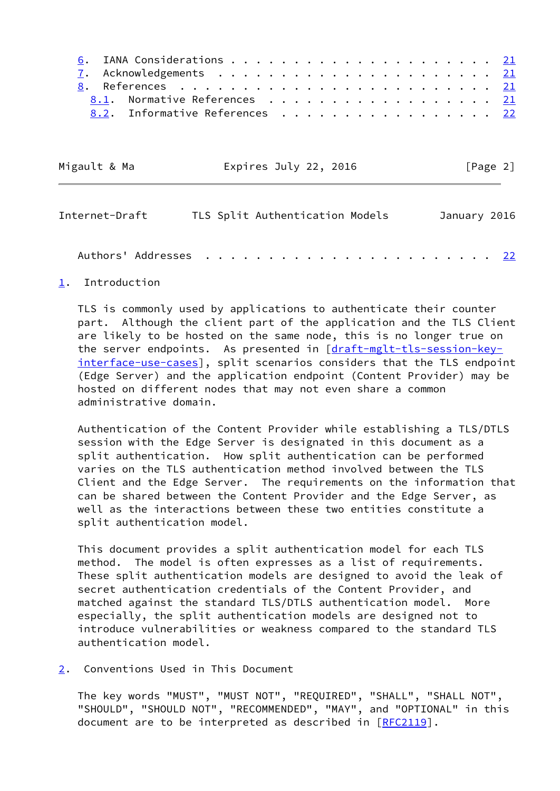| 8.1. Normative References 21   |
|--------------------------------|
| 8.2. Informative References 22 |

| Migault & Ma | Expires July 22, 2016 | [Page 2] |
|--------------|-----------------------|----------|
|              |                       |          |

<span id="page-2-1"></span>

| Internet-Draft | TLS Split Authentication Models |  |  |  | January 2016 |  |  |  |  |  |  |  |  |  |  |  |  |  |  |  |  |
|----------------|---------------------------------|--|--|--|--------------|--|--|--|--|--|--|--|--|--|--|--|--|--|--|--|--|
|                |                                 |  |  |  |              |  |  |  |  |  |  |  |  |  |  |  |  |  |  |  |  |

## <span id="page-2-0"></span>[1](#page-2-0). Introduction

 TLS is commonly used by applications to authenticate their counter part. Although the client part of the application and the TLS Client are likely to be hosted on the same node, this is no longer true on the server endpoints. As presented in [\[draft-mglt-tls-session-key](https://datatracker.ietf.org/doc/pdf/draft-mglt-tls-session-key-interface-use-cases) [interface-use-cases](https://datatracker.ietf.org/doc/pdf/draft-mglt-tls-session-key-interface-use-cases)], split scenarios considers that the TLS endpoint (Edge Server) and the application endpoint (Content Provider) may be hosted on different nodes that may not even share a common administrative domain.

 Authentication of the Content Provider while establishing a TLS/DTLS session with the Edge Server is designated in this document as a split authentication. How split authentication can be performed varies on the TLS authentication method involved between the TLS Client and the Edge Server. The requirements on the information that can be shared between the Content Provider and the Edge Server, as well as the interactions between these two entities constitute a split authentication model.

 This document provides a split authentication model for each TLS method. The model is often expresses as a list of requirements. These split authentication models are designed to avoid the leak of secret authentication credentials of the Content Provider, and matched against the standard TLS/DTLS authentication model. More especially, the split authentication models are designed not to introduce vulnerabilities or weakness compared to the standard TLS authentication model.

<span id="page-2-2"></span>[2](#page-2-2). Conventions Used in This Document

 The key words "MUST", "MUST NOT", "REQUIRED", "SHALL", "SHALL NOT", "SHOULD", "SHOULD NOT", "RECOMMENDED", "MAY", and "OPTIONAL" in this document are to be interpreted as described in [\[RFC2119](https://datatracker.ietf.org/doc/pdf/rfc2119)].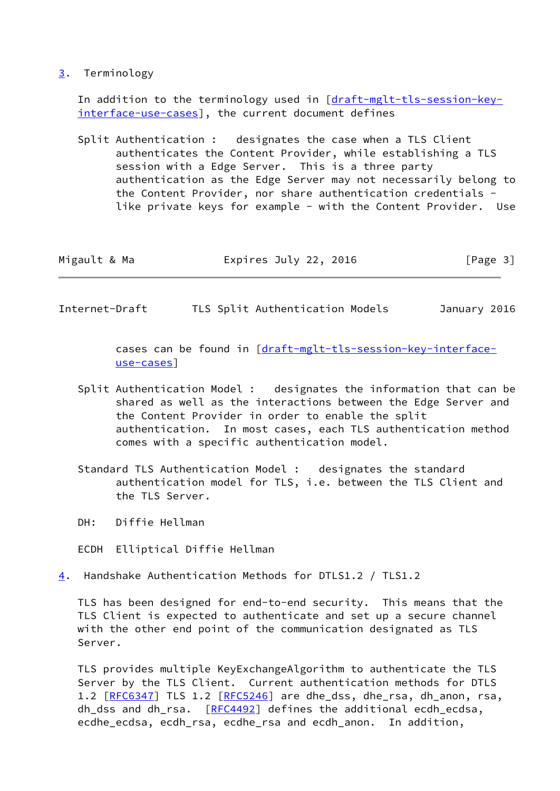<span id="page-3-0"></span>[3](#page-3-0). Terminology

In addition to the terminology used in [\[draft-mglt-tls-session-key](https://datatracker.ietf.org/doc/pdf/draft-mglt-tls-session-key-interface-use-cases) [interface-use-cases](https://datatracker.ietf.org/doc/pdf/draft-mglt-tls-session-key-interface-use-cases)], the current document defines

 Split Authentication : designates the case when a TLS Client authenticates the Content Provider, while establishing a TLS session with a Edge Server. This is a three party authentication as the Edge Server may not necessarily belong to the Content Provider, nor share authentication credentials like private keys for example - with the Content Provider. Use

| Migault & Ma<br>Expires July 22, 2016 | [Page 3] |
|---------------------------------------|----------|
|---------------------------------------|----------|

<span id="page-3-2"></span>Internet-Draft TLS Split Authentication Models January 2016

 cases can be found in [\[draft-mglt-tls-session-key-interface](https://datatracker.ietf.org/doc/pdf/draft-mglt-tls-session-key-interface-use-cases) [use-cases\]](https://datatracker.ietf.org/doc/pdf/draft-mglt-tls-session-key-interface-use-cases)

- Split Authentication Model : designates the information that can be shared as well as the interactions between the Edge Server and the Content Provider in order to enable the split authentication. In most cases, each TLS authentication method comes with a specific authentication model.
- Standard TLS Authentication Model : designates the standard authentication model for TLS, i.e. between the TLS Client and the TLS Server.
- DH: Diffie Hellman
- ECDH Elliptical Diffie Hellman
- <span id="page-3-1"></span>[4](#page-3-1). Handshake Authentication Methods for DTLS1.2 / TLS1.2

 TLS has been designed for end-to-end security. This means that the TLS Client is expected to authenticate and set up a secure channel with the other end point of the communication designated as TLS Server.

 TLS provides multiple KeyExchangeAlgorithm to authenticate the TLS Server by the TLS Client. Current authentication methods for DTLS 1.2 [\[RFC6347](https://datatracker.ietf.org/doc/pdf/rfc6347)] TLS 1.2 [[RFC5246](https://datatracker.ietf.org/doc/pdf/rfc5246)] are dhe\_dss, dhe\_rsa, dh\_anon, rsa, dh\_dss and dh\_rsa.  $[RFC4492]$  $[RFC4492]$  defines the additional ecdh\_ecdsa, ecdhe\_ecdsa, ecdh\_rsa, ecdhe\_rsa and ecdh\_anon. In addition,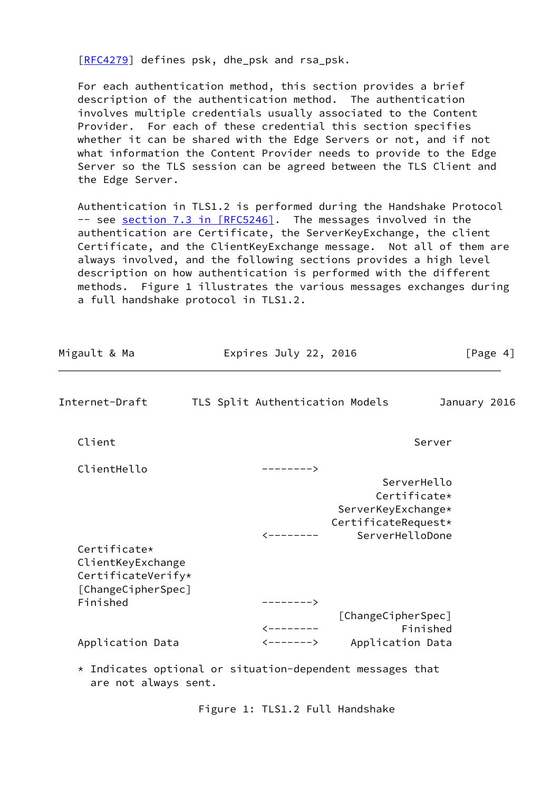[\[RFC4279](https://datatracker.ietf.org/doc/pdf/rfc4279)] defines psk, dhe\_psk and rsa\_psk.

 For each authentication method, this section provides a brief description of the authentication method. The authentication involves multiple credentials usually associated to the Content Provider. For each of these credential this section specifies whether it can be shared with the Edge Servers or not, and if not what information the Content Provider needs to provide to the Edge Server so the TLS session can be agreed between the TLS Client and the Edge Server.

 Authentication in TLS1.2 is performed during the Handshake Protocol -- see section [7.3 in \[RFC5246\].](https://datatracker.ietf.org/doc/pdf/rfc5246#section-7.3) The messages involved in the authentication are Certificate, the ServerKeyExchange, the client Certificate, and the ClientKeyExchange message. Not all of them are always involved, and the following sections provides a high level description on how authentication is performed with the different methods. Figure 1 illustrates the various messages exchanges during a full handshake protocol in TLS1.2.

| Migault & Ma       | Expires July 22, 2016           | [Page $4$ ]  |
|--------------------|---------------------------------|--------------|
| Internet-Draft     | TLS Split Authentication Models | January 2016 |
| Client             |                                 | Server       |
| ClientHello        | -------->                       |              |
|                    |                                 | ServerHello  |
|                    |                                 | Certificate* |
|                    | ServerKeyExchange*              |              |
|                    | CertificateRequest*             |              |
| Certificate*       | ServerHelloDone<br>---------    |              |
| ClientKeyExchange  |                                 |              |
| CertificateVerify* |                                 |              |
| [ChangeCipherSpec] |                                 |              |
| Finished           | $--------$                      |              |
|                    | [ChangeCipherSpec]              |              |
|                    | $\zeta$ - - - - - - - -         | Finished     |
| Application Data   | <-------><br>Application Data   |              |
|                    |                                 |              |

 \* Indicates optional or situation-dependent messages that are not always sent.

Figure 1: TLS1.2 Full Handshake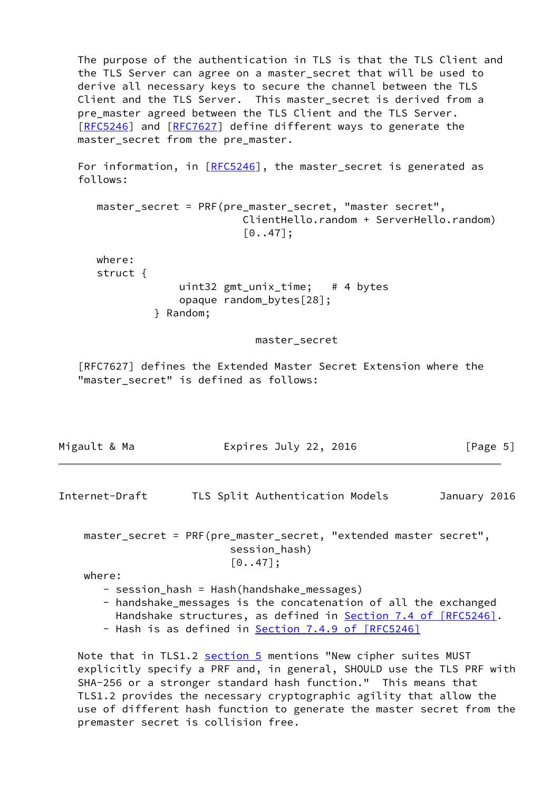The purpose of the authentication in TLS is that the TLS Client and the TLS Server can agree on a master\_secret that will be used to derive all necessary keys to secure the channel between the TLS Client and the TLS Server. This master secret is derived from a pre master agreed between the TLS Client and the TLS Server. [\[RFC5246](https://datatracker.ietf.org/doc/pdf/rfc5246)] and [[RFC7627](https://datatracker.ietf.org/doc/pdf/rfc7627)] define different ways to generate the master secret from the pre master.

For information, in  $[RE5246]$ , the master\_secret is generated as follows:

```
 master_secret = PRF(pre_master_secret, "master secret",
             ClientHello.random + ServerHello.random)
             [0..47];
```
 where: struct { uint32 gmt\_unix\_time; # 4 bytes opaque random\_bytes[28]; } Random;

master\_secret

 [RFC7627] defines the Extended Master Secret Extension where the "master\_secret" is defined as follows:

| Migault & Ma | Expires July 22, 2016 | [Page 5] |
|--------------|-----------------------|----------|
|              |                       |          |

<span id="page-5-0"></span>Internet-Draft TLS Split Authentication Models January 2016

 master\_secret = PRF(pre\_master\_secret, "extended master secret", session\_hash) [0..47];

where:

- session\_hash = Hash(handshake\_messages)

- handshake\_messages is the concatenation of all the exchanged
- Handshake structures, as defined in Section [7.4 of \[RFC5246\]](https://datatracker.ietf.org/doc/pdf/rfc5246#section-7.4).
- Hash is as defined in **Section [7.4.9 of \[RFC5246\]](https://datatracker.ietf.org/doc/pdf/rfc5246#section-7.4.9)**

 Note that in TLS1.2 [section 5](#page-22-1) mentions "New cipher suites MUST explicitly specify a PRF and, in general, SHOULD use the TLS PRF with SHA-256 or a stronger standard hash function." This means that TLS1.2 provides the necessary cryptographic agility that allow the use of different hash function to generate the master secret from the premaster secret is collision free.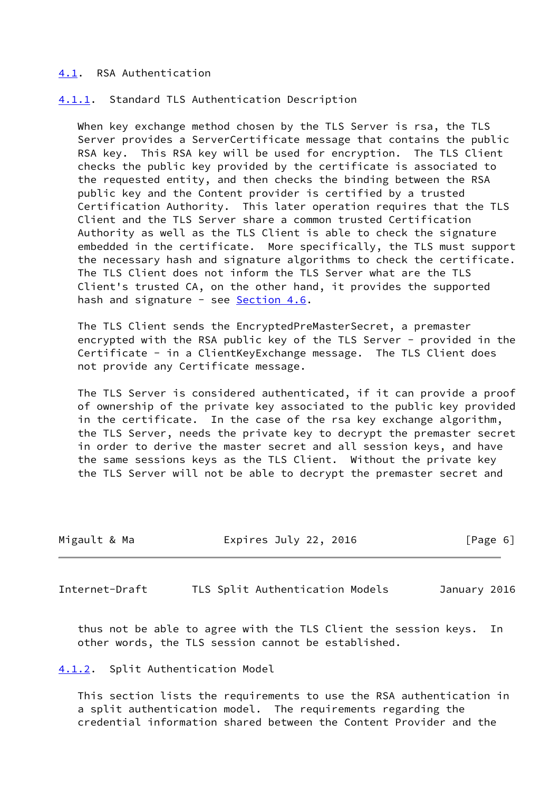#### <span id="page-6-0"></span>[4.1](#page-6-0). RSA Authentication

### <span id="page-6-1"></span>[4.1.1](#page-6-1). Standard TLS Authentication Description

 When key exchange method chosen by the TLS Server is rsa, the TLS Server provides a ServerCertificate message that contains the public RSA key. This RSA key will be used for encryption. The TLS Client checks the public key provided by the certificate is associated to the requested entity, and then checks the binding between the RSA public key and the Content provider is certified by a trusted Certification Authority. This later operation requires that the TLS Client and the TLS Server share a common trusted Certification Authority as well as the TLS Client is able to check the signature embedded in the certificate. More specifically, the TLS must support the necessary hash and signature algorithms to check the certificate. The TLS Client does not inform the TLS Server what are the TLS Client's trusted CA, on the other hand, it provides the supported hash and signature - see [Section 4.6](#page-22-0).

 The TLS Client sends the EncryptedPreMasterSecret, a premaster encrypted with the RSA public key of the TLS Server - provided in the Certificate - in a ClientKeyExchange message. The TLS Client does not provide any Certificate message.

 The TLS Server is considered authenticated, if it can provide a proof of ownership of the private key associated to the public key provided in the certificate. In the case of the rsa key exchange algorithm, the TLS Server, needs the private key to decrypt the premaster secret in order to derive the master secret and all session keys, and have the same sessions keys as the TLS Client. Without the private key the TLS Server will not be able to decrypt the premaster secret and

| Migault & Ma | Expires July 22, 2016 | [Page 6] |
|--------------|-----------------------|----------|
|              |                       |          |

<span id="page-6-3"></span>Internet-Draft TLS Split Authentication Models January 2016

 thus not be able to agree with the TLS Client the session keys. In other words, the TLS session cannot be established.

#### <span id="page-6-2"></span>[4.1.2](#page-6-2). Split Authentication Model

 This section lists the requirements to use the RSA authentication in a split authentication model. The requirements regarding the credential information shared between the Content Provider and the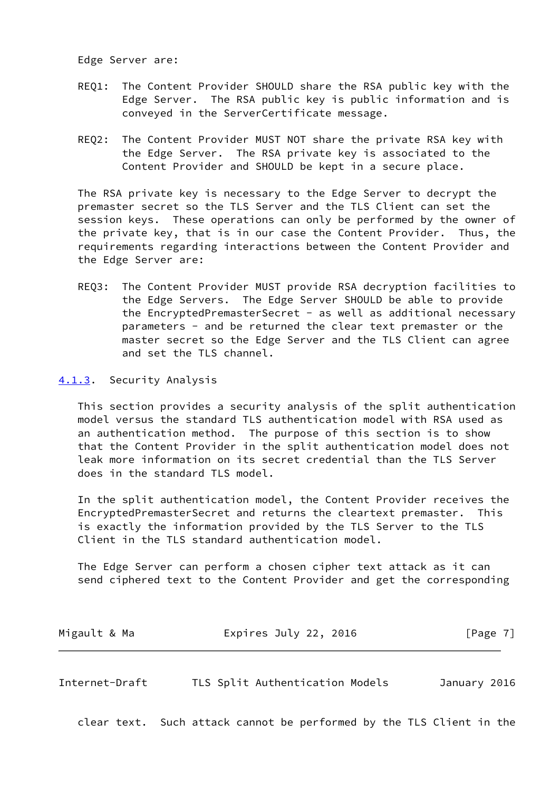Edge Server are:

- REQ1: The Content Provider SHOULD share the RSA public key with the Edge Server. The RSA public key is public information and is conveyed in the ServerCertificate message.
- REQ2: The Content Provider MUST NOT share the private RSA key with the Edge Server. The RSA private key is associated to the Content Provider and SHOULD be kept in a secure place.

 The RSA private key is necessary to the Edge Server to decrypt the premaster secret so the TLS Server and the TLS Client can set the session keys. These operations can only be performed by the owner of the private key, that is in our case the Content Provider. Thus, the requirements regarding interactions between the Content Provider and the Edge Server are:

 REQ3: The Content Provider MUST provide RSA decryption facilities to the Edge Servers. The Edge Server SHOULD be able to provide the EncryptedPremasterSecret - as well as additional necessary parameters - and be returned the clear text premaster or the master secret so the Edge Server and the TLS Client can agree and set the TLS channel.

## <span id="page-7-0"></span>[4.1.3](#page-7-0). Security Analysis

 This section provides a security analysis of the split authentication model versus the standard TLS authentication model with RSA used as an authentication method. The purpose of this section is to show that the Content Provider in the split authentication model does not leak more information on its secret credential than the TLS Server does in the standard TLS model.

 In the split authentication model, the Content Provider receives the EncryptedPremasterSecret and returns the cleartext premaster. This is exactly the information provided by the TLS Server to the TLS Client in the TLS standard authentication model.

 The Edge Server can perform a chosen cipher text attack as it can send ciphered text to the Content Provider and get the corresponding

| Migault & Ma | Expires July 22, 2016 | [Page 7] |
|--------------|-----------------------|----------|
|              |                       |          |

<span id="page-7-1"></span>Internet-Draft TLS Split Authentication Models January 2016

clear text. Such attack cannot be performed by the TLS Client in the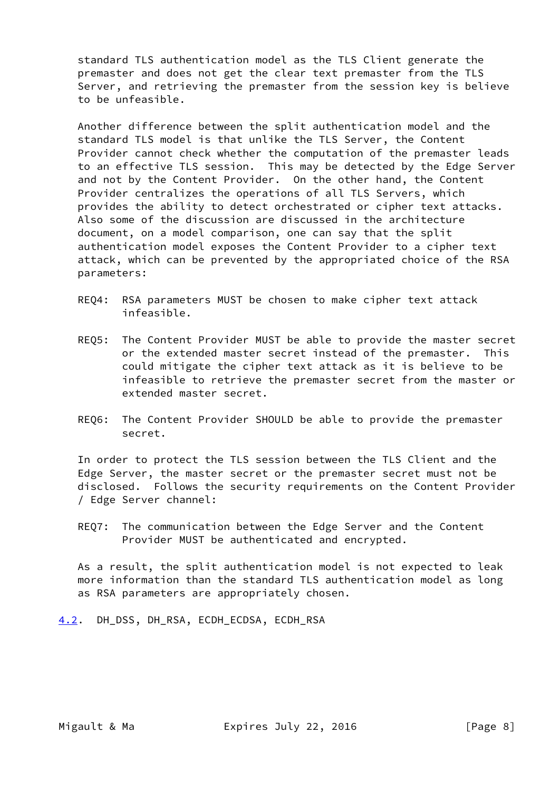standard TLS authentication model as the TLS Client generate the premaster and does not get the clear text premaster from the TLS Server, and retrieving the premaster from the session key is believe to be unfeasible.

 Another difference between the split authentication model and the standard TLS model is that unlike the TLS Server, the Content Provider cannot check whether the computation of the premaster leads to an effective TLS session. This may be detected by the Edge Server and not by the Content Provider. On the other hand, the Content Provider centralizes the operations of all TLS Servers, which provides the ability to detect orchestrated or cipher text attacks. Also some of the discussion are discussed in the architecture document, on a model comparison, one can say that the split authentication model exposes the Content Provider to a cipher text attack, which can be prevented by the appropriated choice of the RSA parameters:

- REQ4: RSA parameters MUST be chosen to make cipher text attack infeasible.
- REQ5: The Content Provider MUST be able to provide the master secret or the extended master secret instead of the premaster. This could mitigate the cipher text attack as it is believe to be infeasible to retrieve the premaster secret from the master or extended master secret.
- REQ6: The Content Provider SHOULD be able to provide the premaster secret.

 In order to protect the TLS session between the TLS Client and the Edge Server, the master secret or the premaster secret must not be disclosed. Follows the security requirements on the Content Provider / Edge Server channel:

 REQ7: The communication between the Edge Server and the Content Provider MUST be authenticated and encrypted.

 As a result, the split authentication model is not expected to leak more information than the standard TLS authentication model as long as RSA parameters are appropriately chosen.

<span id="page-8-0"></span>[4.2](#page-8-0). DH\_DSS, DH\_RSA, ECDH\_ECDSA, ECDH\_RSA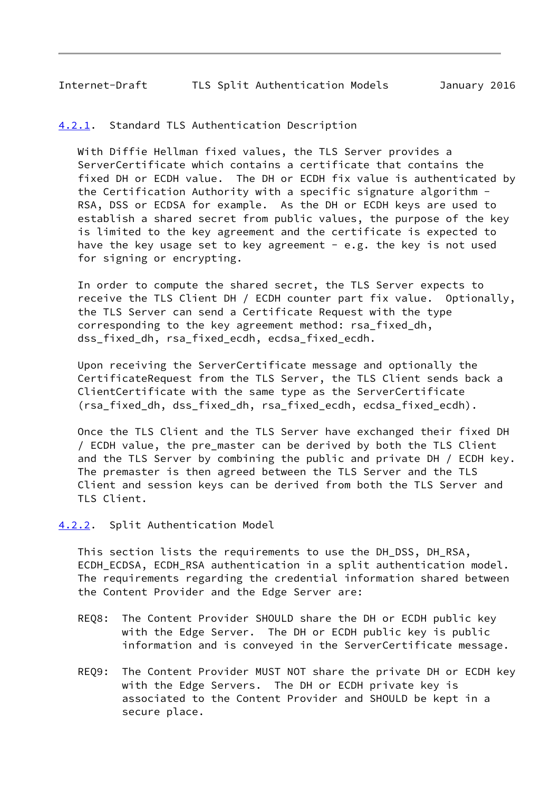<span id="page-9-1"></span><span id="page-9-0"></span>[4.2.1](#page-9-0). Standard TLS Authentication Description

 With Diffie Hellman fixed values, the TLS Server provides a ServerCertificate which contains a certificate that contains the fixed DH or ECDH value. The DH or ECDH fix value is authenticated by the Certification Authority with a specific signature algorithm - RSA, DSS or ECDSA for example. As the DH or ECDH keys are used to establish a shared secret from public values, the purpose of the key is limited to the key agreement and the certificate is expected to have the key usage set to key agreement  $-$  e.g. the key is not used for signing or encrypting.

 In order to compute the shared secret, the TLS Server expects to receive the TLS Client DH / ECDH counter part fix value. Optionally, the TLS Server can send a Certificate Request with the type corresponding to the key agreement method: rsa\_fixed\_dh, dss\_fixed\_dh, rsa\_fixed\_ecdh, ecdsa\_fixed\_ecdh.

 Upon receiving the ServerCertificate message and optionally the CertificateRequest from the TLS Server, the TLS Client sends back a ClientCertificate with the same type as the ServerCertificate (rsa\_fixed\_dh, dss\_fixed\_dh, rsa\_fixed\_ecdh, ecdsa\_fixed\_ecdh).

 Once the TLS Client and the TLS Server have exchanged their fixed DH / ECDH value, the pre\_master can be derived by both the TLS Client and the TLS Server by combining the public and private DH / ECDH key. The premaster is then agreed between the TLS Server and the TLS Client and session keys can be derived from both the TLS Server and TLS Client.

<span id="page-9-2"></span>[4.2.2](#page-9-2). Split Authentication Model

 This section lists the requirements to use the DH\_DSS, DH\_RSA, ECDH ECDSA, ECDH RSA authentication in a split authentication model. The requirements regarding the credential information shared between the Content Provider and the Edge Server are:

- REQ8: The Content Provider SHOULD share the DH or ECDH public key with the Edge Server. The DH or ECDH public key is public information and is conveyed in the ServerCertificate message.
- REQ9: The Content Provider MUST NOT share the private DH or ECDH key with the Edge Servers. The DH or ECDH private key is associated to the Content Provider and SHOULD be kept in a secure place.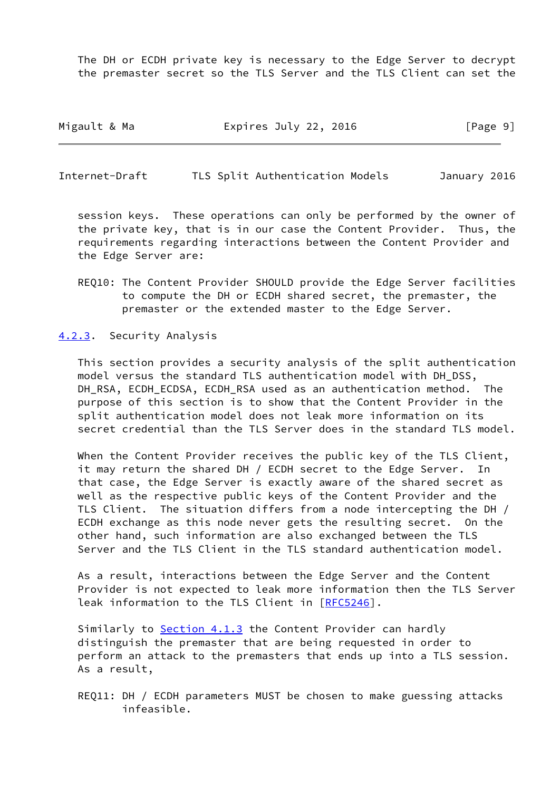The DH or ECDH private key is necessary to the Edge Server to decrypt the premaster secret so the TLS Server and the TLS Client can set the

| Migault & Ma | Expires July 22, 2016 | [Page 9] |
|--------------|-----------------------|----------|
|--------------|-----------------------|----------|

<span id="page-10-1"></span>Internet-Draft TLS Split Authentication Models January 2016

 session keys. These operations can only be performed by the owner of the private key, that is in our case the Content Provider. Thus, the requirements regarding interactions between the Content Provider and the Edge Server are:

- REQ10: The Content Provider SHOULD provide the Edge Server facilities to compute the DH or ECDH shared secret, the premaster, the premaster or the extended master to the Edge Server.
- <span id="page-10-0"></span>[4.2.3](#page-10-0). Security Analysis

 This section provides a security analysis of the split authentication model versus the standard TLS authentication model with DH\_DSS, DH\_RSA, ECDH\_ECDSA, ECDH\_RSA used as an authentication method. The purpose of this section is to show that the Content Provider in the split authentication model does not leak more information on its secret credential than the TLS Server does in the standard TLS model.

 When the Content Provider receives the public key of the TLS Client, it may return the shared DH / ECDH secret to the Edge Server. In that case, the Edge Server is exactly aware of the shared secret as well as the respective public keys of the Content Provider and the TLS Client. The situation differs from a node intercepting the DH / ECDH exchange as this node never gets the resulting secret. On the other hand, such information are also exchanged between the TLS Server and the TLS Client in the TLS standard authentication model.

 As a result, interactions between the Edge Server and the Content Provider is not expected to leak more information then the TLS Server leak information to the TLS Client in [[RFC5246](https://datatracker.ietf.org/doc/pdf/rfc5246)].

 Similarly to [Section 4.1.3](#page-7-0) the Content Provider can hardly distinguish the premaster that are being requested in order to perform an attack to the premasters that ends up into a TLS session. As a result,

 REQ11: DH / ECDH parameters MUST be chosen to make guessing attacks infeasible.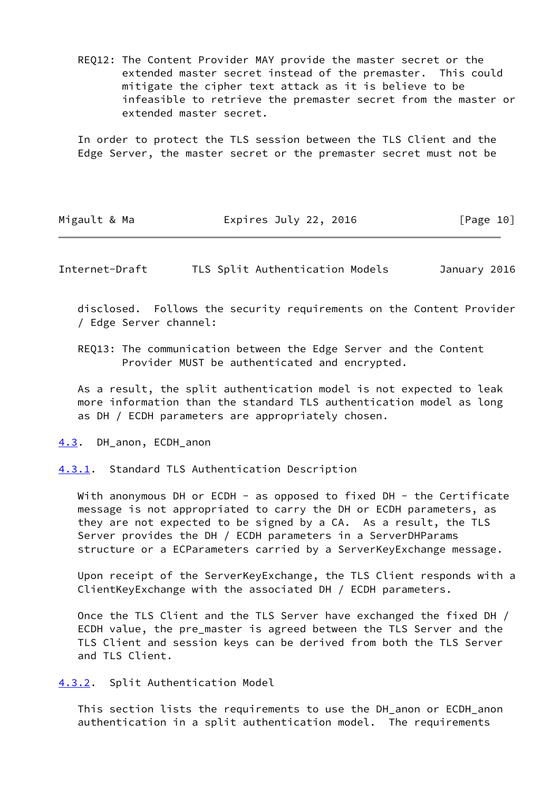REQ12: The Content Provider MAY provide the master secret or the extended master secret instead of the premaster. This could mitigate the cipher text attack as it is believe to be infeasible to retrieve the premaster secret from the master or extended master secret.

 In order to protect the TLS session between the TLS Client and the Edge Server, the master secret or the premaster secret must not be

| Migault & Ma | Expires July 22, 2016 | [Page 10] |
|--------------|-----------------------|-----------|
|--------------|-----------------------|-----------|

<span id="page-11-1"></span>Internet-Draft TLS Split Authentication Models January 2016

 disclosed. Follows the security requirements on the Content Provider / Edge Server channel:

 REQ13: The communication between the Edge Server and the Content Provider MUST be authenticated and encrypted.

 As a result, the split authentication model is not expected to leak more information than the standard TLS authentication model as long as DH / ECDH parameters are appropriately chosen.

<span id="page-11-0"></span>[4.3](#page-11-0). DH\_anon, ECDH\_anon

<span id="page-11-2"></span>[4.3.1](#page-11-2). Standard TLS Authentication Description

With anonymous DH or ECDH - as opposed to fixed DH - the Certificate message is not appropriated to carry the DH or ECDH parameters, as they are not expected to be signed by a CA. As a result, the TLS Server provides the DH / ECDH parameters in a ServerDHParams structure or a ECParameters carried by a ServerKeyExchange message.

 Upon receipt of the ServerKeyExchange, the TLS Client responds with a ClientKeyExchange with the associated DH / ECDH parameters.

 Once the TLS Client and the TLS Server have exchanged the fixed DH / ECDH value, the pre\_master is agreed between the TLS Server and the TLS Client and session keys can be derived from both the TLS Server and TLS Client.

<span id="page-11-3"></span>[4.3.2](#page-11-3). Split Authentication Model

 This section lists the requirements to use the DH\_anon or ECDH\_anon authentication in a split authentication model. The requirements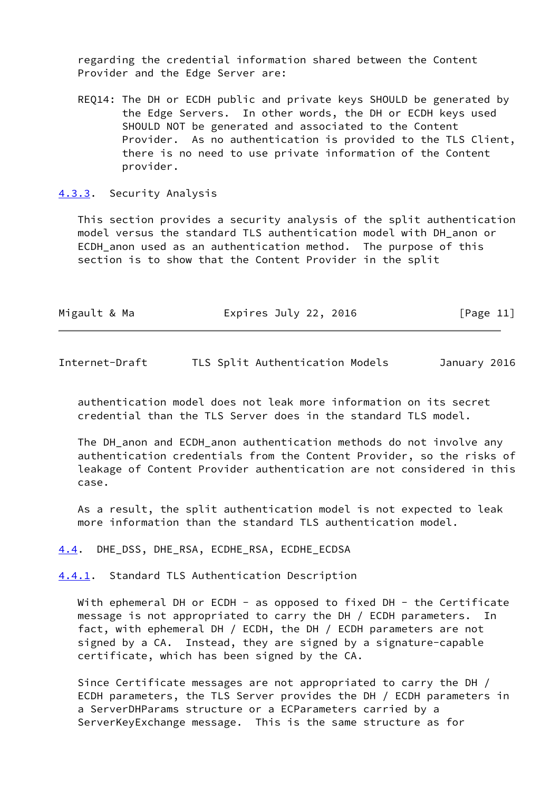regarding the credential information shared between the Content Provider and the Edge Server are:

 REQ14: The DH or ECDH public and private keys SHOULD be generated by the Edge Servers. In other words, the DH or ECDH keys used SHOULD NOT be generated and associated to the Content Provider. As no authentication is provided to the TLS Client, there is no need to use private information of the Content provider.

## <span id="page-12-0"></span>[4.3.3](#page-12-0). Security Analysis

 This section provides a security analysis of the split authentication model versus the standard TLS authentication model with DH\_anon or ECDH\_anon used as an authentication method. The purpose of this section is to show that the Content Provider in the split

| Migault & Ma | Expires July 22, 2016 | [Page 11] |
|--------------|-----------------------|-----------|
|              |                       |           |

<span id="page-12-2"></span>Internet-Draft TLS Split Authentication Models January 2016

 authentication model does not leak more information on its secret credential than the TLS Server does in the standard TLS model.

The DH anon and ECDH anon authentication methods do not involve any authentication credentials from the Content Provider, so the risks of leakage of Content Provider authentication are not considered in this case.

 As a result, the split authentication model is not expected to leak more information than the standard TLS authentication model.

<span id="page-12-1"></span>[4.4](#page-12-1). DHE\_DSS, DHE\_RSA, ECDHE\_RSA, ECDHE\_ECDSA

<span id="page-12-3"></span>[4.4.1](#page-12-3). Standard TLS Authentication Description

With ephemeral DH or ECDH - as opposed to fixed DH - the Certificate message is not appropriated to carry the DH / ECDH parameters. In fact, with ephemeral DH / ECDH, the DH / ECDH parameters are not signed by a CA. Instead, they are signed by a signature-capable certificate, which has been signed by the CA.

 Since Certificate messages are not appropriated to carry the DH / ECDH parameters, the TLS Server provides the DH / ECDH parameters in a ServerDHParams structure or a ECParameters carried by a ServerKeyExchange message. This is the same structure as for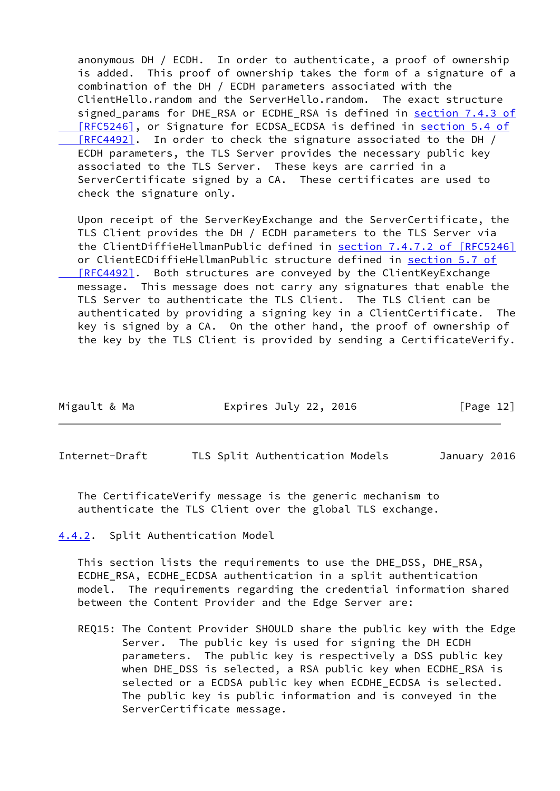anonymous DH / ECDH. In order to authenticate, a proof of ownership is added. This proof of ownership takes the form of a signature of a combination of the DH / ECDH parameters associated with the ClientHello.random and the ServerHello.random. The exact structure signed params for DHE RSA or ECDHE RSA is defined in section [7.4.3 of](https://datatracker.ietf.org/doc/pdf/rfc5246#section-7.4.3) [RFC5246], or Signature for ECDSA ECDSA is defined in [section](https://datatracker.ietf.org/doc/pdf/rfc4492#section-5.4) 5.4 of  [\[RFC4492\]](https://datatracker.ietf.org/doc/pdf/rfc4492#section-5.4). In order to check the signature associated to the DH / ECDH parameters, the TLS Server provides the necessary public key associated to the TLS Server. These keys are carried in a ServerCertificate signed by a CA. These certificates are used to check the signature only.

 Upon receipt of the ServerKeyExchange and the ServerCertificate, the TLS Client provides the DH / ECDH parameters to the TLS Server via the ClientDiffieHellmanPublic defined in section [7.4.7.2 of \[RFC5246\]](https://datatracker.ietf.org/doc/pdf/rfc5246#section-7.4.7.2) or ClientECDiffieHellmanPublic structure defined in [section](https://datatracker.ietf.org/doc/pdf/rfc4492#section-5.7) 5.7 of  [\[RFC4492\]](https://datatracker.ietf.org/doc/pdf/rfc4492#section-5.7). Both structures are conveyed by the ClientKeyExchange message. This message does not carry any signatures that enable the TLS Server to authenticate the TLS Client. The TLS Client can be authenticated by providing a signing key in a ClientCertificate. The key is signed by a CA. On the other hand, the proof of ownership of the key by the TLS Client is provided by sending a CertificateVerify.

| Migault & Ma | Expires July 22, 2016 | [Page 12] |
|--------------|-----------------------|-----------|
|              |                       |           |

<span id="page-13-1"></span>Internet-Draft TLS Split Authentication Models January 2016

 The CertificateVerify message is the generic mechanism to authenticate the TLS Client over the global TLS exchange.

<span id="page-13-0"></span>[4.4.2](#page-13-0). Split Authentication Model

 This section lists the requirements to use the DHE\_DSS, DHE\_RSA, ECDHE RSA, ECDHE ECDSA authentication in a split authentication model. The requirements regarding the credential information shared between the Content Provider and the Edge Server are:

 REQ15: The Content Provider SHOULD share the public key with the Edge Server. The public key is used for signing the DH ECDH parameters. The public key is respectively a DSS public key when DHE\_DSS is selected, a RSA public key when ECDHE\_RSA is selected or a ECDSA public key when ECDHE\_ECDSA is selected. The public key is public information and is conveyed in the ServerCertificate message.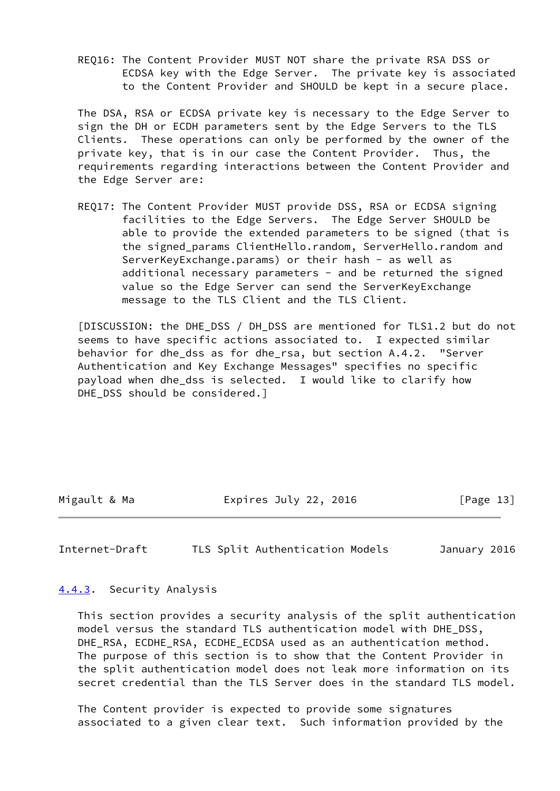REQ16: The Content Provider MUST NOT share the private RSA DSS or ECDSA key with the Edge Server. The private key is associated to the Content Provider and SHOULD be kept in a secure place.

 The DSA, RSA or ECDSA private key is necessary to the Edge Server to sign the DH or ECDH parameters sent by the Edge Servers to the TLS Clients. These operations can only be performed by the owner of the private key, that is in our case the Content Provider. Thus, the requirements regarding interactions between the Content Provider and the Edge Server are:

 REQ17: The Content Provider MUST provide DSS, RSA or ECDSA signing facilities to the Edge Servers. The Edge Server SHOULD be able to provide the extended parameters to be signed (that is the signed\_params ClientHello.random, ServerHello.random and ServerKeyExchange.params) or their hash - as well as additional necessary parameters - and be returned the signed value so the Edge Server can send the ServerKeyExchange message to the TLS Client and the TLS Client.

 [DISCUSSION: the DHE\_DSS / DH\_DSS are mentioned for TLS1.2 but do not seems to have specific actions associated to. I expected similar behavior for dhe\_dss as for dhe\_rsa, but section A.4.2. "Server Authentication and Key Exchange Messages" specifies no specific payload when dhe\_dss is selected. I would like to clarify how DHE\_DSS should be considered.]

Migault & Ma **Expires July 22, 2016** [Page 13]

<span id="page-14-1"></span>Internet-Draft TLS Split Authentication Models January 2016

<span id="page-14-0"></span>[4.4.3](#page-14-0). Security Analysis

 This section provides a security analysis of the split authentication model versus the standard TLS authentication model with DHE\_DSS, DHE\_RSA, ECDHE\_RSA, ECDHE\_ECDSA used as an authentication method. The purpose of this section is to show that the Content Provider in the split authentication model does not leak more information on its secret credential than the TLS Server does in the standard TLS model.

 The Content provider is expected to provide some signatures associated to a given clear text. Such information provided by the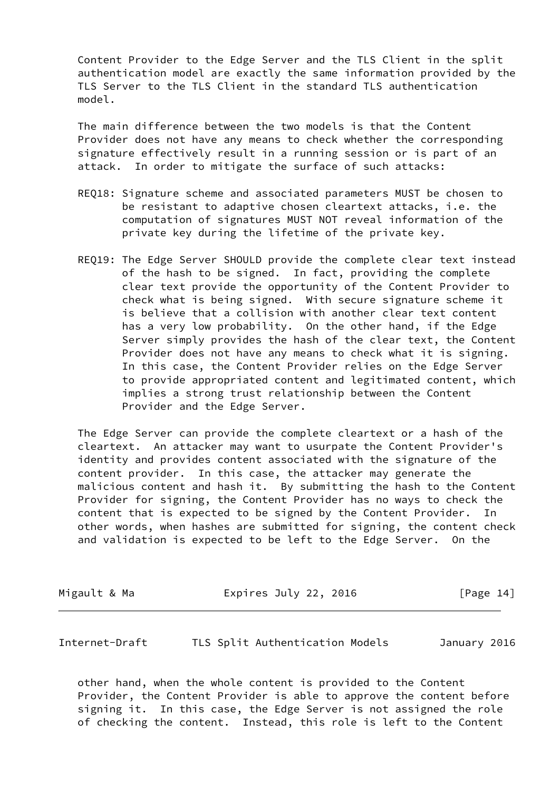Content Provider to the Edge Server and the TLS Client in the split authentication model are exactly the same information provided by the TLS Server to the TLS Client in the standard TLS authentication model.

 The main difference between the two models is that the Content Provider does not have any means to check whether the corresponding signature effectively result in a running session or is part of an attack. In order to mitigate the surface of such attacks:

- REQ18: Signature scheme and associated parameters MUST be chosen to be resistant to adaptive chosen cleartext attacks, i.e. the computation of signatures MUST NOT reveal information of the private key during the lifetime of the private key.
- REQ19: The Edge Server SHOULD provide the complete clear text instead of the hash to be signed. In fact, providing the complete clear text provide the opportunity of the Content Provider to check what is being signed. With secure signature scheme it is believe that a collision with another clear text content has a very low probability. On the other hand, if the Edge Server simply provides the hash of the clear text, the Content Provider does not have any means to check what it is signing. In this case, the Content Provider relies on the Edge Server to provide appropriated content and legitimated content, which implies a strong trust relationship between the Content Provider and the Edge Server.

 The Edge Server can provide the complete cleartext or a hash of the cleartext. An attacker may want to usurpate the Content Provider's identity and provides content associated with the signature of the content provider. In this case, the attacker may generate the malicious content and hash it. By submitting the hash to the Content Provider for signing, the Content Provider has no ways to check the content that is expected to be signed by the Content Provider. In other words, when hashes are submitted for signing, the content check and validation is expected to be left to the Edge Server. On the

| Migault & Ma | Expires July 22, 2016 | [Page 14] |
|--------------|-----------------------|-----------|
|--------------|-----------------------|-----------|

Internet-Draft TLS Split Authentication Models January 2016

 other hand, when the whole content is provided to the Content Provider, the Content Provider is able to approve the content before signing it. In this case, the Edge Server is not assigned the role of checking the content. Instead, this role is left to the Content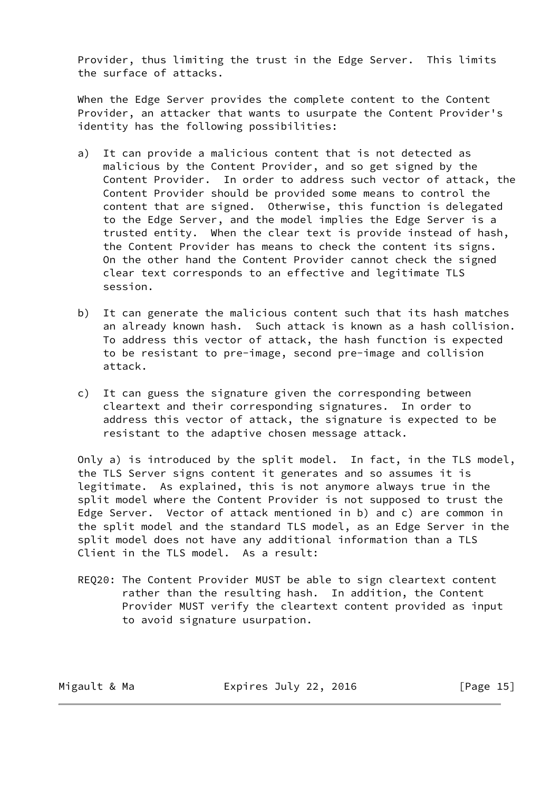Provider, thus limiting the trust in the Edge Server. This limits the surface of attacks.

 When the Edge Server provides the complete content to the Content Provider, an attacker that wants to usurpate the Content Provider's identity has the following possibilities:

- a) It can provide a malicious content that is not detected as malicious by the Content Provider, and so get signed by the Content Provider. In order to address such vector of attack, the Content Provider should be provided some means to control the content that are signed. Otherwise, this function is delegated to the Edge Server, and the model implies the Edge Server is a trusted entity. When the clear text is provide instead of hash, the Content Provider has means to check the content its signs. On the other hand the Content Provider cannot check the signed clear text corresponds to an effective and legitimate TLS session.
- b) It can generate the malicious content such that its hash matches an already known hash. Such attack is known as a hash collision. To address this vector of attack, the hash function is expected to be resistant to pre-image, second pre-image and collision attack.
- c) It can guess the signature given the corresponding between cleartext and their corresponding signatures. In order to address this vector of attack, the signature is expected to be resistant to the adaptive chosen message attack.

 Only a) is introduced by the split model. In fact, in the TLS model, the TLS Server signs content it generates and so assumes it is legitimate. As explained, this is not anymore always true in the split model where the Content Provider is not supposed to trust the Edge Server. Vector of attack mentioned in b) and c) are common in the split model and the standard TLS model, as an Edge Server in the split model does not have any additional information than a TLS Client in the TLS model. As a result:

 REQ20: The Content Provider MUST be able to sign cleartext content rather than the resulting hash. In addition, the Content Provider MUST verify the cleartext content provided as input to avoid signature usurpation.

Migault & Ma **Expires July 22, 2016** [Page 15]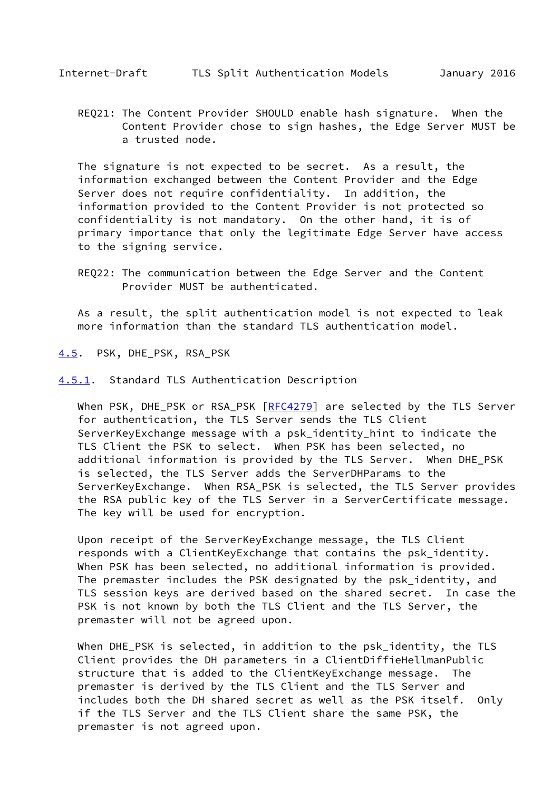<span id="page-17-1"></span> REQ21: The Content Provider SHOULD enable hash signature. When the Content Provider chose to sign hashes, the Edge Server MUST be a trusted node.

 The signature is not expected to be secret. As a result, the information exchanged between the Content Provider and the Edge Server does not require confidentiality. In addition, the information provided to the Content Provider is not protected so confidentiality is not mandatory. On the other hand, it is of primary importance that only the legitimate Edge Server have access to the signing service.

 REQ22: The communication between the Edge Server and the Content Provider MUST be authenticated.

 As a result, the split authentication model is not expected to leak more information than the standard TLS authentication model.

- <span id="page-17-0"></span>[4.5](#page-17-0). PSK, DHE PSK, RSA PSK
- <span id="page-17-2"></span>[4.5.1](#page-17-2). Standard TLS Authentication Description

When PSK, DHE\_PSK or RSA\_PSK [\[RFC4279](https://datatracker.ietf.org/doc/pdf/rfc4279)] are selected by the TLS Server for authentication, the TLS Server sends the TLS Client ServerKeyExchange message with a psk\_identity\_hint to indicate the TLS Client the PSK to select. When PSK has been selected, no additional information is provided by the TLS Server. When DHE\_PSK is selected, the TLS Server adds the ServerDHParams to the ServerKeyExchange. When RSA\_PSK is selected, the TLS Server provides the RSA public key of the TLS Server in a ServerCertificate message. The key will be used for encryption.

 Upon receipt of the ServerKeyExchange message, the TLS Client responds with a ClientKeyExchange that contains the psk identity. When PSK has been selected, no additional information is provided. The premaster includes the PSK designated by the psk\_identity, and TLS session keys are derived based on the shared secret. In case the PSK is not known by both the TLS Client and the TLS Server, the premaster will not be agreed upon.

 When DHE\_PSK is selected, in addition to the psk\_identity, the TLS Client provides the DH parameters in a ClientDiffieHellmanPublic structure that is added to the ClientKeyExchange message. The premaster is derived by the TLS Client and the TLS Server and includes both the DH shared secret as well as the PSK itself. Only if the TLS Server and the TLS Client share the same PSK, the premaster is not agreed upon.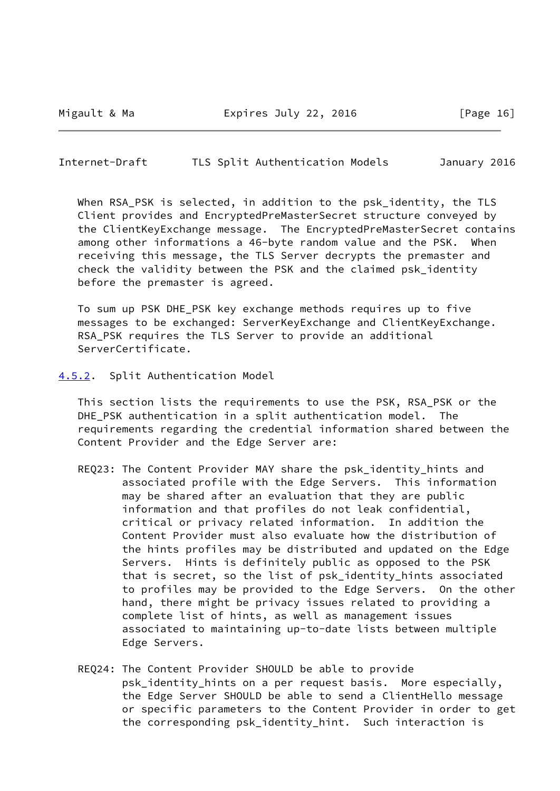Migault & Ma **Expires July 22, 2016** [Page 16]

<span id="page-18-1"></span>Internet-Draft TLS Split Authentication Models January 2016

 When RSA\_PSK is selected, in addition to the psk\_identity, the TLS Client provides and EncryptedPreMasterSecret structure conveyed by the ClientKeyExchange message. The EncryptedPreMasterSecret contains among other informations a 46-byte random value and the PSK. When receiving this message, the TLS Server decrypts the premaster and check the validity between the PSK and the claimed psk\_identity before the premaster is agreed.

To sum up PSK DHE PSK key exchange methods requires up to five messages to be exchanged: ServerKeyExchange and ClientKeyExchange. RSA\_PSK requires the TLS Server to provide an additional ServerCertificate.

<span id="page-18-0"></span>[4.5.2](#page-18-0). Split Authentication Model

This section lists the requirements to use the PSK, RSA PSK or the DHE\_PSK authentication in a split authentication model. The requirements regarding the credential information shared between the Content Provider and the Edge Server are:

- REQ23: The Content Provider MAY share the psk\_identity\_hints and associated profile with the Edge Servers. This information may be shared after an evaluation that they are public information and that profiles do not leak confidential, critical or privacy related information. In addition the Content Provider must also evaluate how the distribution of the hints profiles may be distributed and updated on the Edge Servers. Hints is definitely public as opposed to the PSK that is secret, so the list of psk\_identity\_hints associated to profiles may be provided to the Edge Servers. On the other hand, there might be privacy issues related to providing a complete list of hints, as well as management issues associated to maintaining up-to-date lists between multiple Edge Servers.
- REQ24: The Content Provider SHOULD be able to provide psk\_identity\_hints on a per request basis. More especially, the Edge Server SHOULD be able to send a ClientHello message or specific parameters to the Content Provider in order to get the corresponding psk\_identity\_hint. Such interaction is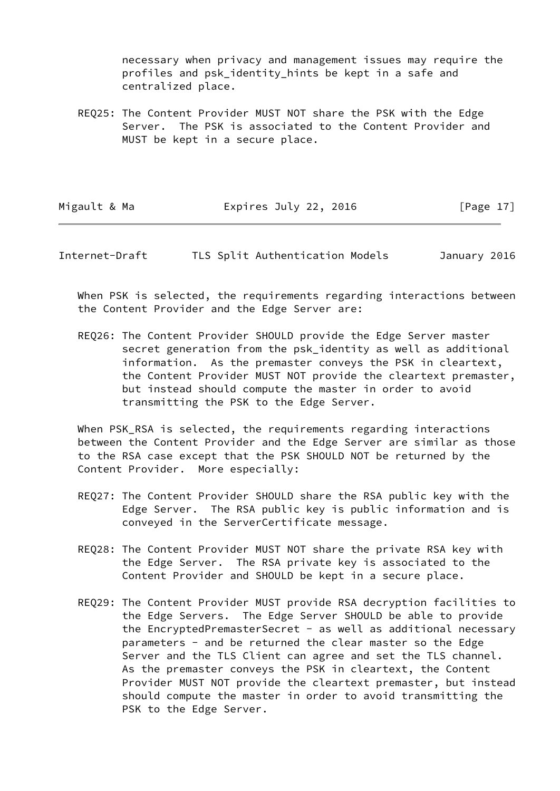necessary when privacy and management issues may require the profiles and psk\_identity\_hints be kept in a safe and centralized place.

 REQ25: The Content Provider MUST NOT share the PSK with the Edge Server. The PSK is associated to the Content Provider and MUST be kept in a secure place.

Migault & Ma **Expires July 22, 2016** [Page 17]

Internet-Draft TLS Split Authentication Models January 2016

 When PSK is selected, the requirements regarding interactions between the Content Provider and the Edge Server are:

 REQ26: The Content Provider SHOULD provide the Edge Server master secret generation from the psk\_identity as well as additional information. As the premaster conveys the PSK in cleartext, the Content Provider MUST NOT provide the cleartext premaster, but instead should compute the master in order to avoid transmitting the PSK to the Edge Server.

 When PSK\_RSA is selected, the requirements regarding interactions between the Content Provider and the Edge Server are similar as those to the RSA case except that the PSK SHOULD NOT be returned by the Content Provider. More especially:

- REQ27: The Content Provider SHOULD share the RSA public key with the Edge Server. The RSA public key is public information and is conveyed in the ServerCertificate message.
- REQ28: The Content Provider MUST NOT share the private RSA key with the Edge Server. The RSA private key is associated to the Content Provider and SHOULD be kept in a secure place.
- REQ29: The Content Provider MUST provide RSA decryption facilities to the Edge Servers. The Edge Server SHOULD be able to provide the EncryptedPremasterSecret - as well as additional necessary parameters - and be returned the clear master so the Edge Server and the TLS Client can agree and set the TLS channel. As the premaster conveys the PSK in cleartext, the Content Provider MUST NOT provide the cleartext premaster, but instead should compute the master in order to avoid transmitting the PSK to the Edge Server.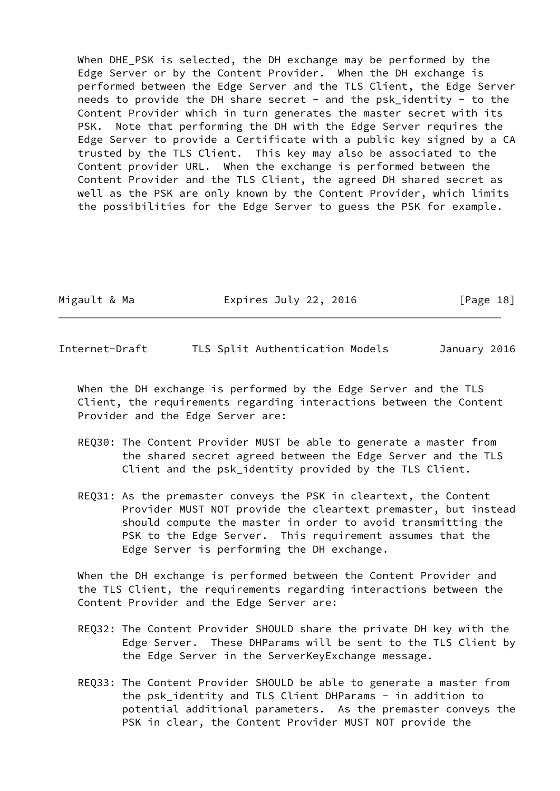When DHE PSK is selected, the DH exchange may be performed by the Edge Server or by the Content Provider. When the DH exchange is performed between the Edge Server and the TLS Client, the Edge Server needs to provide the DH share secret - and the  $psk_id$ entity - to the Content Provider which in turn generates the master secret with its PSK. Note that performing the DH with the Edge Server requires the Edge Server to provide a Certificate with a public key signed by a CA trusted by the TLS Client. This key may also be associated to the Content provider URL. When the exchange is performed between the Content Provider and the TLS Client, the agreed DH shared secret as well as the PSK are only known by the Content Provider, which limits the possibilities for the Edge Server to guess the PSK for example.

| Migault & Ma | Expires July 22, 2016 | [Page 18] |
|--------------|-----------------------|-----------|
|              |                       |           |

<span id="page-20-0"></span>Internet-Draft TLS Split Authentication Models January 2016

 When the DH exchange is performed by the Edge Server and the TLS Client, the requirements regarding interactions between the Content Provider and the Edge Server are:

- REQ30: The Content Provider MUST be able to generate a master from the shared secret agreed between the Edge Server and the TLS Client and the psk\_identity provided by the TLS Client.
- REQ31: As the premaster conveys the PSK in cleartext, the Content Provider MUST NOT provide the cleartext premaster, but instead should compute the master in order to avoid transmitting the PSK to the Edge Server. This requirement assumes that the Edge Server is performing the DH exchange.

 When the DH exchange is performed between the Content Provider and the TLS Client, the requirements regarding interactions between the Content Provider and the Edge Server are:

- REQ32: The Content Provider SHOULD share the private DH key with the Edge Server. These DHParams will be sent to the TLS Client by the Edge Server in the ServerKeyExchange message.
- REQ33: The Content Provider SHOULD be able to generate a master from the psk\_identity and TLS Client DHParams - in addition to potential additional parameters. As the premaster conveys the PSK in clear, the Content Provider MUST NOT provide the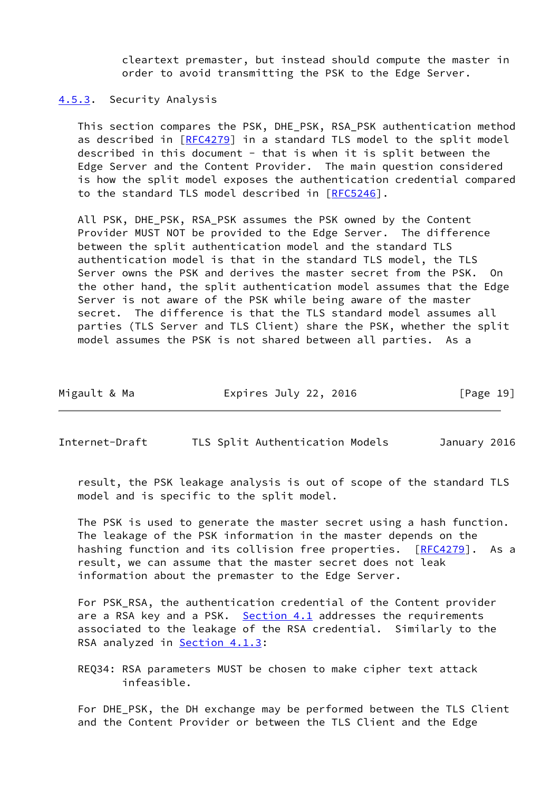cleartext premaster, but instead should compute the master in order to avoid transmitting the PSK to the Edge Server.

### <span id="page-21-0"></span>[4.5.3](#page-21-0). Security Analysis

 This section compares the PSK, DHE\_PSK, RSA\_PSK authentication method as described in [\[RFC4279](https://datatracker.ietf.org/doc/pdf/rfc4279)] in a standard TLS model to the split model described in this document - that is when it is split between the Edge Server and the Content Provider. The main question considered is how the split model exposes the authentication credential compared to the standard TLS model described in [\[RFC5246](https://datatracker.ietf.org/doc/pdf/rfc5246)].

 All PSK, DHE\_PSK, RSA\_PSK assumes the PSK owned by the Content Provider MUST NOT be provided to the Edge Server. The difference between the split authentication model and the standard TLS authentication model is that in the standard TLS model, the TLS Server owns the PSK and derives the master secret from the PSK. On the other hand, the split authentication model assumes that the Edge Server is not aware of the PSK while being aware of the master secret. The difference is that the TLS standard model assumes all parties (TLS Server and TLS Client) share the PSK, whether the split model assumes the PSK is not shared between all parties. As a

| Migault & Ma | Expires July 22, 2016 | [Page 19] |  |
|--------------|-----------------------|-----------|--|
|              |                       |           |  |

<span id="page-21-1"></span>Internet-Draft TLS Split Authentication Models January 2016

 result, the PSK leakage analysis is out of scope of the standard TLS model and is specific to the split model.

 The PSK is used to generate the master secret using a hash function. The leakage of the PSK information in the master depends on the hashing function and its collision free properties. [\[RFC4279](https://datatracker.ietf.org/doc/pdf/rfc4279)]. As a result, we can assume that the master secret does not leak information about the premaster to the Edge Server.

 For PSK\_RSA, the authentication credential of the Content provider are a RSA key and a PSK. [Section 4.1](#page-6-0) addresses the requirements associated to the leakage of the RSA credential. Similarly to the RSA analyzed in **Section 4.1.3:** 

 REQ34: RSA parameters MUST be chosen to make cipher text attack infeasible.

 For DHE\_PSK, the DH exchange may be performed between the TLS Client and the Content Provider or between the TLS Client and the Edge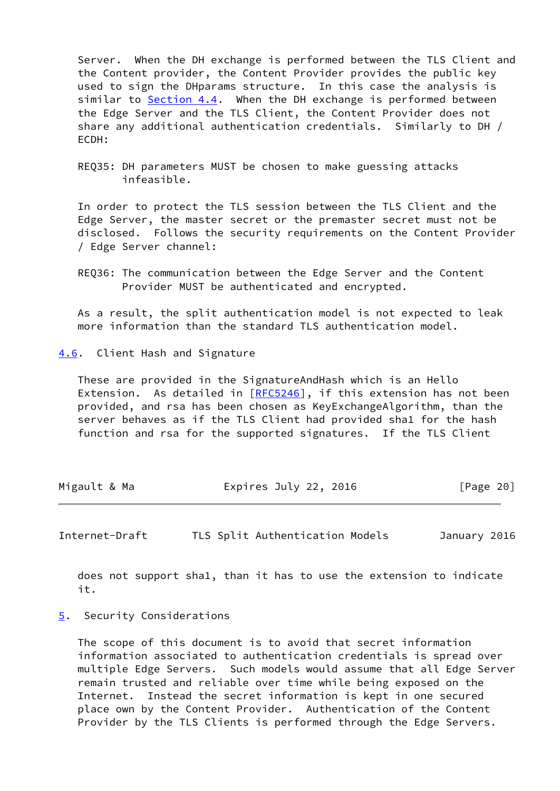Server. When the DH exchange is performed between the TLS Client and the Content provider, the Content Provider provides the public key used to sign the DHparams structure. In this case the analysis is similar to **[Section 4.4](#page-12-1).** When the DH exchange is performed between the Edge Server and the TLS Client, the Content Provider does not share any additional authentication credentials. Similarly to DH / ECDH:

 REQ35: DH parameters MUST be chosen to make guessing attacks infeasible.

 In order to protect the TLS session between the TLS Client and the Edge Server, the master secret or the premaster secret must not be disclosed. Follows the security requirements on the Content Provider / Edge Server channel:

 REQ36: The communication between the Edge Server and the Content Provider MUST be authenticated and encrypted.

 As a result, the split authentication model is not expected to leak more information than the standard TLS authentication model.

<span id="page-22-0"></span>[4.6](#page-22-0). Client Hash and Signature

 These are provided in the SignatureAndHash which is an Hello Extension. As detailed in  $[REC5246]$ , if this extension has not been provided, and rsa has been chosen as KeyExchangeAlgorithm, than the server behaves as if the TLS Client had provided sha1 for the hash function and rsa for the supported signatures. If the TLS Client

| Migault & Ma | Expires July 22, 2016 | [Page 20] |
|--------------|-----------------------|-----------|
|              |                       |           |

<span id="page-22-2"></span>Internet-Draft TLS Split Authentication Models January 2016

 does not support sha1, than it has to use the extension to indicate it.

<span id="page-22-1"></span>[5](#page-22-1). Security Considerations

 The scope of this document is to avoid that secret information information associated to authentication credentials is spread over multiple Edge Servers. Such models would assume that all Edge Server remain trusted and reliable over time while being exposed on the Internet. Instead the secret information is kept in one secured place own by the Content Provider. Authentication of the Content Provider by the TLS Clients is performed through the Edge Servers.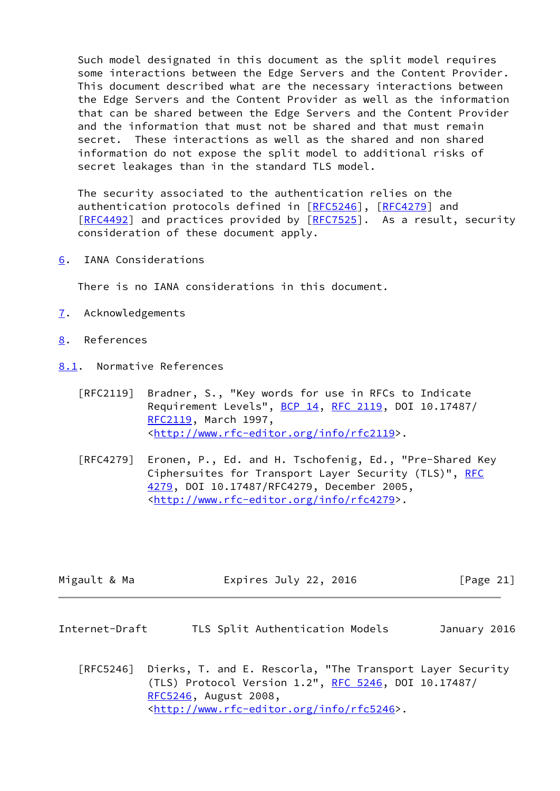Such model designated in this document as the split model requires some interactions between the Edge Servers and the Content Provider. This document described what are the necessary interactions between the Edge Servers and the Content Provider as well as the information that can be shared between the Edge Servers and the Content Provider and the information that must not be shared and that must remain secret. These interactions as well as the shared and non shared information do not expose the split model to additional risks of secret leakages than in the standard TLS model.

 The security associated to the authentication relies on the authentication protocols defined in [\[RFC5246](https://datatracker.ietf.org/doc/pdf/rfc5246)], [\[RFC4279](https://datatracker.ietf.org/doc/pdf/rfc4279)] and [\[RFC4492](https://datatracker.ietf.org/doc/pdf/rfc4492)] and practices provided by [\[RFC7525](https://datatracker.ietf.org/doc/pdf/rfc7525)]. As a result, security consideration of these document apply.

<span id="page-23-0"></span>[6](#page-23-0). IANA Considerations

There is no IANA considerations in this document.

- <span id="page-23-1"></span>[7](#page-23-1). Acknowledgements
- <span id="page-23-2"></span>[8](#page-23-2). References
- <span id="page-23-3"></span>[8.1](#page-23-3). Normative References
	- [RFC2119] Bradner, S., "Key words for use in RFCs to Indicate Requirement Levels", [BCP 14](https://datatracker.ietf.org/doc/pdf/bcp14), [RFC 2119](https://datatracker.ietf.org/doc/pdf/rfc2119), DOI 10.17487/ [RFC2119](https://datatracker.ietf.org/doc/pdf/rfc2119), March 1997, <<http://www.rfc-editor.org/info/rfc2119>>.
	- [RFC4279] Eronen, P., Ed. and H. Tschofenig, Ed., "Pre-Shared Key Ciphersuites for Transport Layer Security (TLS)", [RFC](https://datatracker.ietf.org/doc/pdf/rfc4279) [4279,](https://datatracker.ietf.org/doc/pdf/rfc4279) DOI 10.17487/RFC4279, December 2005, <<http://www.rfc-editor.org/info/rfc4279>>.

| Migault & Ma | Expires July 22, 2016 | [Page 21] |
|--------------|-----------------------|-----------|
|--------------|-----------------------|-----------|

- <span id="page-23-4"></span>Internet-Draft TLS Split Authentication Models January 2016
	- [RFC5246] Dierks, T. and E. Rescorla, "The Transport Layer Security (TLS) Protocol Version 1.2", [RFC 5246](https://datatracker.ietf.org/doc/pdf/rfc5246), DOI 10.17487/ [RFC5246](https://datatracker.ietf.org/doc/pdf/rfc5246), August 2008, <<http://www.rfc-editor.org/info/rfc5246>>.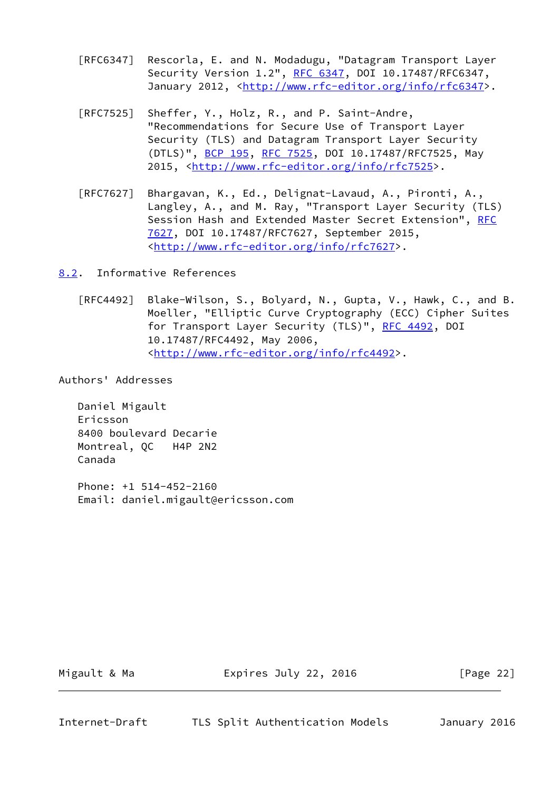- [RFC6347] Rescorla, E. and N. Modadugu, "Datagram Transport Layer Security Version 1.2", [RFC 6347](https://datatracker.ietf.org/doc/pdf/rfc6347), DOI 10.17487/RFC6347, January 2012, [<http://www.rfc-editor.org/info/rfc6347](http://www.rfc-editor.org/info/rfc6347)>.
- [RFC7525] Sheffer, Y., Holz, R., and P. Saint-Andre, "Recommendations for Secure Use of Transport Layer Security (TLS) and Datagram Transport Layer Security (DTLS)", [BCP 195,](https://datatracker.ietf.org/doc/pdf/bcp195) [RFC 7525](https://datatracker.ietf.org/doc/pdf/rfc7525), DOI 10.17487/RFC7525, May 2015, [<http://www.rfc-editor.org/info/rfc7525](http://www.rfc-editor.org/info/rfc7525)>.
- [RFC7627] Bhargavan, K., Ed., Delignat-Lavaud, A., Pironti, A., Langley, A., and M. Ray, "Transport Layer Security (TLS) Session Hash and Extended Master Secret Extension", [RFC](https://datatracker.ietf.org/doc/pdf/rfc7627) [7627,](https://datatracker.ietf.org/doc/pdf/rfc7627) DOI 10.17487/RFC7627, September 2015, <<http://www.rfc-editor.org/info/rfc7627>>.
- <span id="page-24-0"></span>[8.2](#page-24-0). Informative References
	- [RFC4492] Blake-Wilson, S., Bolyard, N., Gupta, V., Hawk, C., and B. Moeller, "Elliptic Curve Cryptography (ECC) Cipher Suites for Transport Layer Security (TLS)", [RFC 4492](https://datatracker.ietf.org/doc/pdf/rfc4492), DOI 10.17487/RFC4492, May 2006, <<http://www.rfc-editor.org/info/rfc4492>>.
- Authors' Addresses

 Daniel Migault Ericsson 8400 boulevard Decarie Montreal, QC H4P 2N2 Canada

 Phone: +1 514-452-2160 Email: daniel.migault@ericsson.com

Migault & Ma **Expires July 22, 2016** [Page 22]